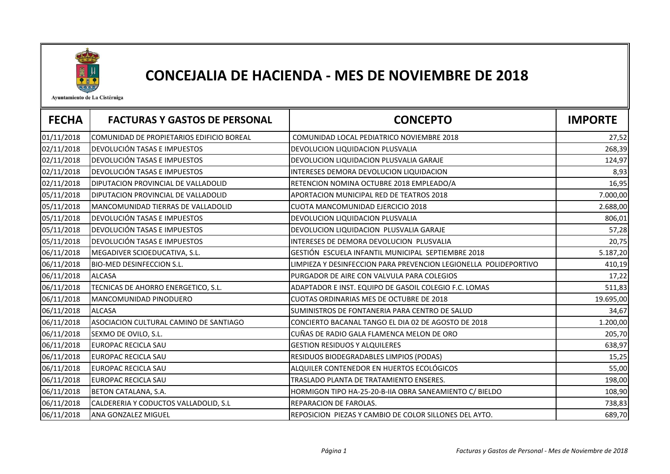

## CONCEJALIA DE HACIENDA - MES DE NOVIEMBRE DE 2018

Ayuntamiento de La Cistérniga

| <b>FECHA</b> | <b>FACTURAS Y GASTOS DE PERSONAL</b>      | <b>CONCEPTO</b>                                                  | <b>IMPORTE</b> |
|--------------|-------------------------------------------|------------------------------------------------------------------|----------------|
| 01/11/2018   | COMUNIDAD DE PROPIETARIOS EDIFICIO BOREAL | COMUNIDAD LOCAL PEDIATRICO NOVIEMBRE 2018                        | 27,52          |
| 02/11/2018   | DEVOLUCIÓN TASAS E IMPUESTOS              | DEVOLUCION LIQUIDACION PLUSVALIA                                 | 268,39         |
| 02/11/2018   | <b>DEVOLUCIÓN TASAS E IMPUESTOS</b>       | DEVOLUCION LIQUIDACION PLUSVALIA GARAJE                          | 124,97         |
| 02/11/2018   | DEVOLUCIÓN TASAS E IMPUESTOS              | INTERESES DEMORA DEVOLUCION LIQUIDACION                          | 8,93           |
| 02/11/2018   | DIPUTACION PROVINCIAL DE VALLADOLID       | RETENCION NOMINA OCTUBRE 2018 EMPLEADO/A                         | 16,95          |
| 05/11/2018   | DIPUTACION PROVINCIAL DE VALLADOLID       | APORTACION MUNICIPAL RED DE TEATROS 2018                         | 7.000,00       |
| 05/11/2018   | MANCOMUNIDAD TIERRAS DE VALLADOLID        | CUOTA MANCOMUNIDAD EJERCICIO 2018                                | 2.688,00       |
| 05/11/2018   | DEVOLUCIÓN TASAS E IMPUESTOS              | DEVOLUCION LIQUIDACION PLUSVALIA                                 | 806,01         |
| 05/11/2018   | <b>DEVOLUCIÓN TASAS E IMPUESTOS</b>       | DEVOLUCION LIQUIDACION PLUSVALIA GARAJE                          | 57,28          |
| 05/11/2018   | DEVOLUCIÓN TASAS E IMPUESTOS              | INTERESES DE DEMORA DEVOLUCION PLUSVALIA                         | 20,75          |
| 06/11/2018   | MEGADIVER SCIOEDUCATIVA, S.L.             | GESTIÓN ESCUELA INFANTIL MUNICIPAL SEPTIEMBRE 2018               | 5.187,20       |
| 06/11/2018   | <b>BIO-MED DESINFECCION S.L.</b>          | LIMPIEZA Y DESINFECCION PARA PREVENCION LEGIONELLA POLIDEPORTIVO | 410,19         |
| 06/11/2018   | <b>ALCASA</b>                             | PURGADOR DE AIRE CON VALVULA PARA COLEGIOS                       | 17,22          |
| 06/11/2018   | TECNICAS DE AHORRO ENERGETICO, S.L.       | ADAPTADOR E INST. EQUIPO DE GASOIL COLEGIO F.C. LOMAS            | 511,83         |
| 06/11/2018   | MANCOMUNIDAD PINODUERO                    | CUOTAS ORDINARIAS MES DE OCTUBRE DE 2018                         | 19.695,00      |
| 06/11/2018   | <b>ALCASA</b>                             | SUMINISTROS DE FONTANERIA PARA CENTRO DE SALUD                   | 34,67          |
| 06/11/2018   | ASOCIACION CULTURAL CAMINO DE SANTIAGO    | CONCIERTO BACANAL TANGO EL DIA 02 DE AGOSTO DE 2018              | 1.200,00       |
| 06/11/2018   | SEXMO DE OVILO, S.L.                      | CUÑAS DE RADIO GALA FLAMENCA MELON DE ORO                        | 205,70         |
| 06/11/2018   | <b>EUROPAC RECICLA SAU</b>                | <b>GESTION RESIDUOS Y ALQUILERES</b>                             | 638,97         |
| 06/11/2018   | EUROPAC RECICLA SAU                       | RESIDUOS BIODEGRADABLES LIMPIOS (PODAS)                          | 15,25          |
| 06/11/2018   | <b>EUROPAC RECICLA SAU</b>                | ALQUILER CONTENEDOR EN HUERTOS ECOLÓGICOS                        | 55,00          |
| 06/11/2018   | EUROPAC RECICLA SAU                       | TRASLADO PLANTA DE TRATAMIENTO ENSERES.                          | 198,00         |
| 06/11/2018   | BETON CATALANA, S.A.                      | HORMIGON TIPO HA-25-20-B-IIA OBRA SANEAMIENTO C/ BIELDO          | 108,90         |
| 06/11/2018   | CALDERERIA Y CODUCTOS VALLADOLID, S.L     | REPARACION DE FAROLAS.                                           | 738,83         |
| 06/11/2018   | ANA GONZALEZ MIGUEL                       | REPOSICION PIEZAS Y CAMBIO DE COLOR SILLONES DEL AYTO.           | 689,70         |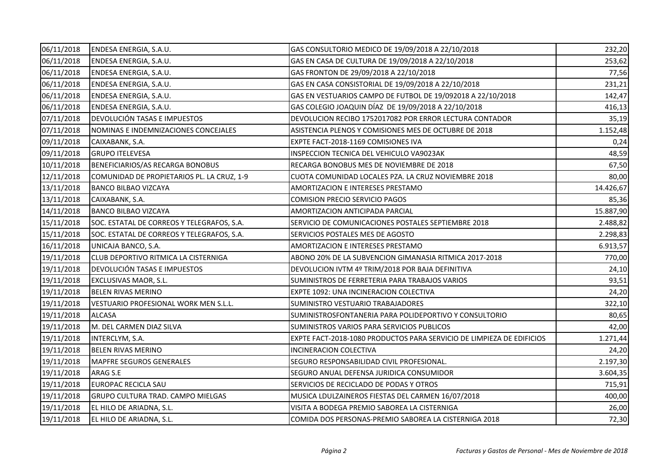| 06/11/2018 | ENDESA ENERGIA, S.A.U.                     | GAS CONSULTORIO MEDICO DE 19/09/2018 A 22/10/2018                     | 232,20    |
|------------|--------------------------------------------|-----------------------------------------------------------------------|-----------|
| 06/11/2018 | ENDESA ENERGIA, S.A.U.                     | GAS EN CASA DE CULTURA DE 19/09/2018 A 22/10/2018                     | 253,62    |
| 06/11/2018 | ENDESA ENERGIA, S.A.U.                     | GAS FRONTON DE 29/09/2018 A 22/10/2018                                | 77,56     |
| 06/11/2018 | ENDESA ENERGIA, S.A.U.                     | GAS EN CASA CONSISTORIAL DE 19/09/2018 A 22/10/2018                   | 231,21    |
| 06/11/2018 | ENDESA ENERGIA, S.A.U.                     | GAS EN VESTUARIOS CAMPO DE FUTBOL DE 19/092018 A 22/10/2018           | 142,47    |
| 06/11/2018 | ENDESA ENERGIA, S.A.U.                     | GAS COLEGIO JOAQUIN DÍAZ DE 19/09/2018 A 22/10/2018                   | 416,13    |
| 07/11/2018 | DEVOLUCIÓN TASAS E IMPUESTOS               | DEVOLUCION RECIBO 1752017082 POR ERROR LECTURA CONTADOR               | 35,19     |
| 07/11/2018 | NOMINAS E INDEMNIZACIONES CONCEJALES       | ASISTENCIA PLENOS Y COMISIONES MES DE OCTUBRE DE 2018                 | 1.152,48  |
| 09/11/2018 | CAIXABANK, S.A.                            | EXPTE FACT-2018-1169 COMISIONES IVA                                   | 0,24      |
| 09/11/2018 | <b>GRUPO ITELEVESA</b>                     | INSPECCION TECNICA DEL VEHICULO VA9023AK                              | 48,59     |
| 10/11/2018 | BENEFICIARIOS/AS RECARGA BONOBUS           | RECARGA BONOBUS MES DE NOVIEMBRE DE 2018                              | 67,50     |
| 12/11/2018 | COMUNIDAD DE PROPIETARIOS PL. LA CRUZ, 1-9 | CUOTA COMUNIDAD LOCALES PZA. LA CRUZ NOVIEMBRE 2018                   | 80,00     |
| 13/11/2018 | <b>BANCO BILBAO VIZCAYA</b>                | AMORTIZACION E INTERESES PRESTAMO                                     | 14.426,67 |
| 13/11/2018 | CAIXABANK, S.A.                            | <b>COMISION PRECIO SERVICIO PAGOS</b>                                 | 85,36     |
| 14/11/2018 | <b>BANCO BILBAO VIZCAYA</b>                | AMORTIZACION ANTICIPADA PARCIAL                                       | 15.887,90 |
| 15/11/2018 | SOC. ESTATAL DE CORREOS Y TELEGRAFOS, S.A. | SERVICIO DE COMUNICACIONES POSTALES SEPTIEMBRE 2018                   | 2.488,82  |
| 15/11/2018 | SOC. ESTATAL DE CORREOS Y TELEGRAFOS, S.A. | SERVICIOS POSTALES MES DE AGOSTO                                      | 2.298,83  |
| 16/11/2018 | UNICAJA BANCO, S.A.                        | AMORTIZACION E INTERESES PRESTAMO                                     | 6.913,57  |
| 19/11/2018 | CLUB DEPORTIVO RITMICA LA CISTERNIGA       | ABONO 20% DE LA SUBVENCION GIMANASIA RITMICA 2017-2018                | 770,00    |
| 19/11/2018 | DEVOLUCIÓN TASAS E IMPUESTOS               | DEVOLUCION IVTM 4º TRIM/2018 POR BAJA DEFINITIVA                      | 24,10     |
| 19/11/2018 | EXCLUSIVAS MAOR, S.L.                      | SUMINISTROS DE FERRETERIA PARA TRABAJOS VARIOS                        | 93,51     |
| 19/11/2018 | <b>BELEN RIVAS MERINO</b>                  | EXPTE 1092: UNA INCINERACION COLECTIVA                                | 24,20     |
| 19/11/2018 | VESTUARIO PROFESIONAL WORK MEN S.L.L.      | SUMINISTRO VESTUARIO TRABAJADORES                                     | 322,10    |
| 19/11/2018 | <b>ALCASA</b>                              | SUMINISTROSFONTANERIA PARA POLIDEPORTIVO Y CONSULTORIO                | 80,65     |
| 19/11/2018 | M. DEL CARMEN DIAZ SILVA                   | SUMINISTROS VARIOS PARA SERVICIOS PUBLICOS                            | 42,00     |
| 19/11/2018 | INTERCLYM, S.A.                            | EXPTE FACT-2018-1080 PRODUCTOS PARA SERVICIO DE LIMPIEZA DE EDIFICIOS | 1.271,44  |
| 19/11/2018 | <b>BELEN RIVAS MERINO</b>                  | INCINERACION COLECTIVA                                                | 24,20     |
| 19/11/2018 | MAPFRE SEGUROS GENERALES                   | SEGURO RESPONSABILIDAD CIVIL PROFESIONAL.                             | 2.197,30  |
| 19/11/2018 | ARAG S.E                                   | SEGURO ANUAL DEFENSA JURIDICA CONSUMIDOR                              | 3.604, 35 |
| 19/11/2018 | EUROPAC RECICLA SAU                        | SERVICIOS DE RECICLADO DE PODAS Y OTROS                               | 715,91    |
| 19/11/2018 | GRUPO CULTURA TRAD. CAMPO MIELGAS          | MUSICA LDULZAINEROS FIESTAS DEL CARMEN 16/07/2018                     | 400,00    |
| 19/11/2018 | EL HILO DE ARIADNA, S.L.                   | VISITA A BODEGA PREMIO SABOREA LA CISTERNIGA                          | 26,00     |
| 19/11/2018 | EL HILO DE ARIADNA, S.L.                   | COMIDA DOS PERSONAS-PREMIO SABOREA LA CISTERNIGA 2018                 | 72,30     |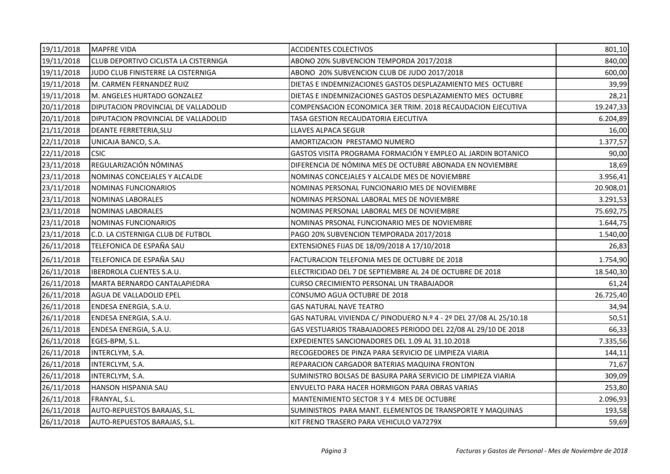| 19/11/2018 | <b>MAPFRE VIDA</b>                    | ACCIDENTES COLECTIVOS                                              | 801,10    |
|------------|---------------------------------------|--------------------------------------------------------------------|-----------|
| 19/11/2018 | CLUB DEPORTIVO CICLISTA LA CISTERNIGA | ABONO 20% SUBVENCION TEMPORDA 2017/2018                            | 840,00    |
| 19/11/2018 | JUDO CLUB FINISTERRE LA CISTERNIGA    | ABONO 20% SUBVENCION CLUB DE JUDO 2017/2018                        | 600,00    |
| 19/11/2018 | M. CARMEN FERNANDEZ RUIZ              | DIETAS E INDEMNIZACIONES GASTOS DESPLAZAMIENTO MES OCTUBRE         | 39,99     |
| 19/11/2018 | M. ANGELES HURTADO GONZALEZ           | DIETAS E INDEMNIZACIONES GASTOS DESPLAZAMIENTO MES OCTUBRE         | 28,21     |
| 20/11/2018 | DIPUTACION PROVINCIAL DE VALLADOLID   | COMPENSACION ECONOMICA 3ER TRIM. 2018 RECAUDACION EJECUTIVA        | 19.247,33 |
| 20/11/2018 | DIPUTACION PROVINCIAL DE VALLADOLID   | TASA GESTION RECAUDATORIA EJECUTIVA                                | 6.204,89  |
| 21/11/2018 | DEANTE FERRETERIA, SLU                | LLAVES ALPACA SEGUR                                                | 16,00     |
| 22/11/2018 | UNICAJA BANCO, S.A.                   | AMORTIZACION PRESTAMO NUMERO                                       | 1.377,57  |
| 22/11/2018 | <b>CSIC</b>                           | GASTOS VISITA PROGRAMA FORMACIÓN Y EMPLEO AL JARDIN BOTANICO       | 90,00     |
| 23/11/2018 | REGULARIZACIÓN NÓMINAS                | DIFERENCIA DE NÓMINA MES DE OCTUBRE ABONADA EN NOVIEMBRE           | 18,69     |
| 23/11/2018 | NOMINAS CONCEJALES Y ALCALDE          | NOMINAS CONCEJALES Y ALCALDE MES DE NOVIEMBRE                      | 3.956,41  |
| 23/11/2018 | NOMINAS FUNCIONARIOS                  | NOMINAS PERSONAL FUNCIONARIO MES DE NOVIEMBRE                      | 20.908,01 |
| 23/11/2018 | NOMINAS LABORALES                     | NOMINAS PERSONAL LABORAL MES DE NOVIEMBRE                          | 3.291,53  |
| 23/11/2018 | NOMINAS LABORALES                     | NOMINAS PERSONAL LABORAL MES DE NOVIEMBRE                          | 75.692,75 |
| 23/11/2018 | NOMINAS FUNCIONARIOS                  | NOMINAS PRSONAL FUNCIONARIO MES DE NOVIEMBRE                       | 1.644,75  |
| 23/11/2018 | C.D. LA CISTERNIGA CLUB DE FUTBOL     | PAGO 20% SUBVENCION TEMPORADA 2017/2018                            | 1.540,00  |
| 26/11/2018 | TELEFONICA DE ESPAÑA SAU              | EXTENSIONES FIJAS DE 18/09/2018 A 17/10/2018                       | 26,83     |
| 26/11/2018 | TELEFONICA DE ESPAÑA SAU              | FACTURACION TELEFONIA MES DE OCTUBRE DE 2018                       | 1.754,90  |
| 26/11/2018 | IBERDROLA CLIENTES S.A.U.             | ELECTRICIDAD DEL 7 DE SEPTIEMBRE AL 24 DE OCTUBRE DE 2018          | 18.540,30 |
| 26/11/2018 | MARTA BERNARDO CANTALAPIEDRA          | CURSO CRECIMIENTO PERSONAL UN TRABAJADOR                           | 61,24     |
| 26/11/2018 | AGUA DE VALLADOLID EPEL               | CONSUMO AGUA OCTUBRE DE 2018                                       | 26.725,40 |
| 26/11/2018 | ENDESA ENERGIA, S.A.U.                | <b>GAS NATURAL NAVE TEATRO</b>                                     | 34,94     |
| 26/11/2018 | ENDESA ENERGIA, S.A.U.                | GAS NATURAL VIVIENDA C/ PINODUERO N.º 4 - 2º DEL 27/08 AL 25/10.18 | 50,51     |
| 26/11/2018 | ENDESA ENERGIA, S.A.U.                | GAS VESTUARIOS TRABAJADORES PERIODO DEL 22/08 AL 29/10 DE 2018     | 66,33     |
| 26/11/2018 | EGES-BPM, S.L.                        | EXPEDIENTES SANCIONADORES DEL 1.09 AL 31.10.2018                   | 7.335,56  |
| 26/11/2018 | INTERCLYM, S.A.                       | RECOGEDORES DE PINZA PARA SERVICIO DE LIMPIEZA VIARIA              | 144,11    |
| 26/11/2018 | INTERCLYM, S.A.                       | REPARACION CARGADOR BATERIAS MAQUINA FRONTON                       | 71,67     |
| 26/11/2018 | INTERCLYM, S.A.                       | SUMINISTRO BOLSAS DE BASURA PARA SERVICIO DE LIMPIEZA VIARIA       | 309,09    |
| 26/11/2018 | HANSON HISPANIA SAU                   | ENVUELTO PARA HACER HORMIGON PARA OBRAS VARIAS                     | 253,80    |
| 26/11/2018 | FRANYAL, S.L.                         | MANTENIMIENTO SECTOR 3 Y 4 MES DE OCTUBRE                          | 2.096,93  |
| 26/11/2018 | AUTO-REPUESTOS BARAJAS, S.L.          | SUMINISTROS PARA MANT. ELEMENTOS DE TRANSPORTE Y MAQUINAS          | 193,58    |
| 26/11/2018 | AUTO-REPUESTOS BARAJAS, S.L.          | KIT FRENO TRASERO PARA VEHICULO VA7279X                            | 59,69     |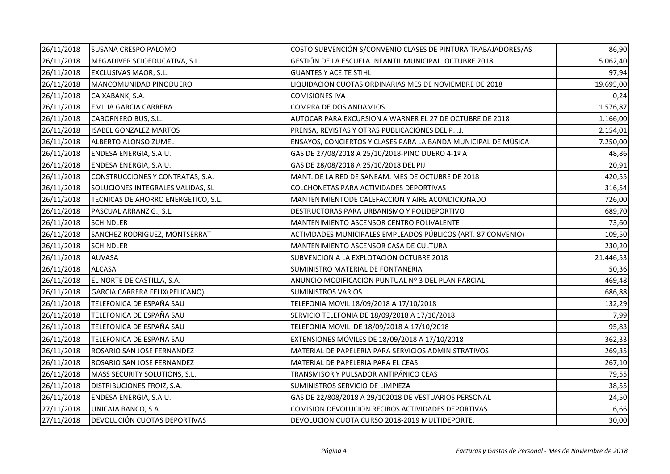| 26/11/2018 | SUSANA CRESPO PALOMO                | COSTO SUBVENCIÓN S/CONVENIO CLASES DE PINTURA TRABAJADORES/AS  | 86,90     |
|------------|-------------------------------------|----------------------------------------------------------------|-----------|
| 26/11/2018 | MEGADIVER SCIOEDUCATIVA, S.L.       | GESTIÓN DE LA ESCUELA INFANTIL MUNICIPAL OCTUBRE 2018          | 5.062,40  |
| 26/11/2018 | <b>EXCLUSIVAS MAOR, S.L.</b>        | <b>GUANTES Y ACEITE STIHL</b>                                  | 97,94     |
| 26/11/2018 | MANCOMUNIDAD PINODUERO              | LIQUIDACION CUOTAS ORDINARIAS MES DE NOVIEMBRE DE 2018         | 19.695,00 |
| 26/11/2018 | CAIXABANK, S.A.                     | <b>COMISIONES IVA</b>                                          | 0,24      |
| 26/11/2018 | EMILIA GARCIA CARRERA               | COMPRA DE DOS ANDAMIOS                                         | 1.576,87  |
| 26/11/2018 | CABORNERO BUS, S.L.                 | AUTOCAR PARA EXCURSION A WARNER EL 27 DE OCTUBRE DE 2018       | 1.166,00  |
| 26/11/2018 | <b>ISABEL GONZALEZ MARTOS</b>       | PRENSA, REVISTAS Y OTRAS PUBLICACIONES DEL P.I.J.              | 2.154,01  |
| 26/11/2018 | ALBERTO ALONSO ZUMEL                | ENSAYOS, CONCIERTOS Y CLASES PARA LA BANDA MUNICIPAL DE MÚSICA | 7.250,00  |
| 26/11/2018 | ENDESA ENERGIA, S.A.U.              | GAS DE 27/08/2018 A 25/10/2018-PINO DUERO 4-1º A               | 48,86     |
| 26/11/2018 | ENDESA ENERGIA, S.A.U.              | GAS DE 28/08/2018 A 25/10/2018 DEL PIJ                         | 20,91     |
| 26/11/2018 | CONSTRUCCIONES Y CONTRATAS, S.A.    | MANT. DE LA RED DE SANEAM. MES DE OCTUBRE DE 2018              | 420,55    |
| 26/11/2018 | SOLUCIONES INTEGRALES VALIDAS, SL   | COLCHONETAS PARA ACTIVIDADES DEPORTIVAS                        | 316,54    |
| 26/11/2018 | TECNICAS DE AHORRO ENERGETICO, S.L. | MANTENIMIENTODE CALEFACCION Y AIRE ACONDICIONADO               | 726,00    |
| 26/11/2018 | PASCUAL ARRANZ G., S.L.             | DESTRUCTORAS PARA URBANISMO Y POLIDEPORTIVO                    | 689,70    |
| 26/11/2018 | <b>SCHINDLER</b>                    | MANTENIMIENTO ASCENSOR CENTRO POLIVALENTE                      | 73,60     |
| 26/11/2018 | SANCHEZ RODRIGUEZ, MONTSERRAT       | ACTIVIDADES MUNICIPALES EMPLEADOS PÚBLICOS (ART. 87 CONVENIO)  | 109,50    |
| 26/11/2018 | <b>SCHINDLER</b>                    | MANTENIMIENTO ASCENSOR CASA DE CULTURA                         | 230,20    |
| 26/11/2018 | <b>AUVASA</b>                       | SUBVENCION A LA EXPLOTACION OCTUBRE 2018                       | 21.446,53 |
| 26/11/2018 | <b>ALCASA</b>                       | SUMINISTRO MATERIAL DE FONTANERIA                              | 50,36     |
| 26/11/2018 | EL NORTE DE CASTILLA, S.A.          | ANUNCIO MODIFICACION PUNTUAL Nº 3 DEL PLAN PARCIAL             | 469,48    |
| 26/11/2018 | GARCIA CARRERA FELIX(PELICANO)      | <b>SUMINISTROS VARIOS</b>                                      | 686,88    |
| 26/11/2018 | TELEFONICA DE ESPAÑA SAU            | TELEFONIA MOVIL 18/09/2018 A 17/10/2018                        | 132,29    |
| 26/11/2018 | TELEFONICA DE ESPAÑA SAU            | SERVICIO TELEFONIA DE 18/09/2018 A 17/10/2018                  | 7,99      |
| 26/11/2018 | TELEFONICA DE ESPAÑA SAU            | TELEFONIA MOVIL DE 18/09/2018 A 17/10/2018                     | 95,83     |
| 26/11/2018 | TELEFONICA DE ESPAÑA SAU            | EXTENSIONES MÓVILES DE 18/09/2018 A 17/10/2018                 | 362,33    |
| 26/11/2018 | ROSARIO SAN JOSE FERNANDEZ          | MATERIAL DE PAPELERIA PARA SERVICIOS ADMINISTRATIVOS           | 269,35    |
| 26/11/2018 | ROSARIO SAN JOSE FERNANDEZ          | MATERIAL DE PAPELERIA PARA EL CEAS                             | 267,10    |
| 26/11/2018 | MASS SECURITY SOLUTIONS, S.L.       | TRANSMISOR Y PULSADOR ANTIPÁNICO CEAS                          | 79,55     |
| 26/11/2018 | <b>DISTRIBUCIONES FROIZ, S.A.</b>   | SUMINISTROS SERVICIO DE LIMPIEZA                               | 38,55     |
| 26/11/2018 | ENDESA ENERGIA, S.A.U.              | GAS DE 22/808/2018 A 29/102018 DE VESTUARIOS PERSONAL          | 24,50     |
| 27/11/2018 | UNICAJA BANCO, S.A.                 | COMISION DEVOLUCION RECIBOS ACTIVIDADES DEPORTIVAS             | 6,66      |
| 27/11/2018 | DEVOLUCIÓN CUOTAS DEPORTIVAS        | DEVOLUCION CUOTA CURSO 2018-2019 MULTIDEPORTE.                 | 30,00     |